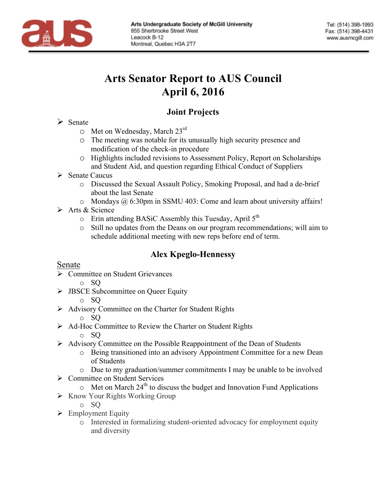

# **Arts Senator Report to AUS Council April 6, 2016**

# **Joint Projects**

#### $\triangleright$  Senate

- $\circ$  Met on Wednesday, March 23<sup>rd</sup>
- o The meeting was notable for its unusually high security presence and modification of the check-in procedure
- o Highlights included revisions to Assessment Policy, Report on Scholarships and Student Aid, and question regarding Ethical Conduct of Suppliers
- $\triangleright$  Senate Caucus
	- o Discussed the Sexual Assault Policy, Smoking Proposal, and had a de-brief about the last Senate
	- o Mondays @ 6:30pm in SSMU 403: Come and learn about university affairs!
- $\triangleright$  Arts & Science
	- $\circ$  Erin attending BASiC Assembly this Tuesday, April 5<sup>th</sup>
	- o Still no updates from the Deans on our program recommendations; will aim to schedule additional meeting with new reps before end of term.

# **Alex Kpeglo-Hennessy**

## Senate

- Ø Committee on Student Grievances
	- o SQ
- $\triangleright$  JBSCE Subcommittee on Queer Equity

#### o SQ

- $\triangleright$  Advisory Committee on the Charter for Student Rights
	- o SQ
- Ø Ad-Hoc Committee to Review the Charter on Student Rights

o SQ

- $\triangleright$  Advisory Committee on the Possible Reappointment of the Dean of Students
	- o Being transitioned into an advisory Appointment Committee for a new Dean of Students
	- o Due to my graduation/summer commitments I may be unable to be involved
- Ø Committee on Student Services
	- $\circ$  Met on March 24<sup>th</sup> to discuss the budget and Innovation Fund Applications
- $\triangleright$  Know Your Rights Working Group

o SQ

- $\triangleright$  Employment Equity
	- o Interested in formalizing student-oriented advocacy for employment equity and diversity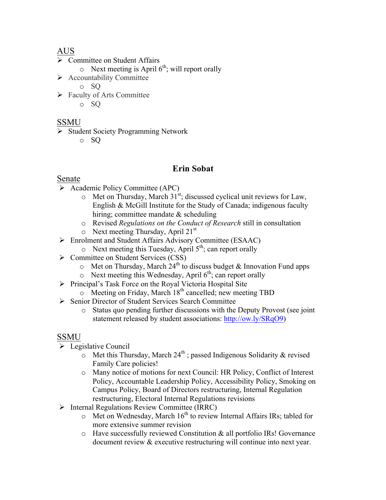# AUS

- $\triangleright$  Committee on Student Affairs
	- $\circ$  Next meeting is April 6<sup>th</sup>; will report orally
- $\triangleright$  Accountability Committee
	- o SQ
- $\triangleright$  Faculty of Arts Committee
	- o SQ

# **SSMU**

- Ø Student Society Programming Network
	- o SQ

# **Erin Sobat**

## Senate

- $\triangleright$  Academic Policy Committee (APC)
	- $\circ$  Met on Thursday, March 31<sup>st</sup>; discussed cyclical unit reviews for Law, English & McGill Institute for the Study of Canada; indigenous faculty hiring; committee mandate & scheduling
	- o Revised *Regulations on the Conduct of Research* still in consultation
	- $\circ$  Next meeting Thursday, April 21<sup>st</sup>
- Ø Enrolment and Student Affairs Advisory Committee (ESAAC)
	- $\circ$  Next meeting this Tuesday, April  $5<sup>th</sup>$ ; can report orally
- Ø Committee on Student Services (CSS)
	- $\circ$  Met on Thursday, March  $24^{th}$  to discuss budget & Innovation Fund apps
	- $\circ$  Next meeting this Wednesday, April  $6<sup>th</sup>$ ; can report orally
- Ø Principal's Task Force on the Royal Victoria Hospital Site
	- $\circ$  Meeting on Friday, March 18<sup>th</sup> cancelled; new meeting TBD
- Ø Senior Director of Student Services Search Committee
	- o Status quo pending further discussions with the Deputy Provost (see joint statement released by student associations: http://ow.ly/SRqO9)

## SSMU

- $\triangleright$  Legislative Council
	- $\sim$  Met this Thursday, March 24<sup>th</sup>; passed Indigenous Solidarity & revised Family Care policies!
	- o Many notice of motions for next Council: HR Policy, Conflict of Interest Policy, Accountable Leadership Policy, Accessibility Policy, Smoking on Campus Policy, Board of Directors restructuring, Internal Regulation restructuring, Electoral Internal Regulations revisions
- Ø Internal Regulations Review Committee (IRRC)
	- $\circ$  Met on Wednesday, March 16<sup>th</sup> to review Internal Affairs IRs; tabled for more extensive summer revision
	- o Have successfully reviewed Constitution & all portfolio IRs! Governance document review & executive restructuring will continue into next year.